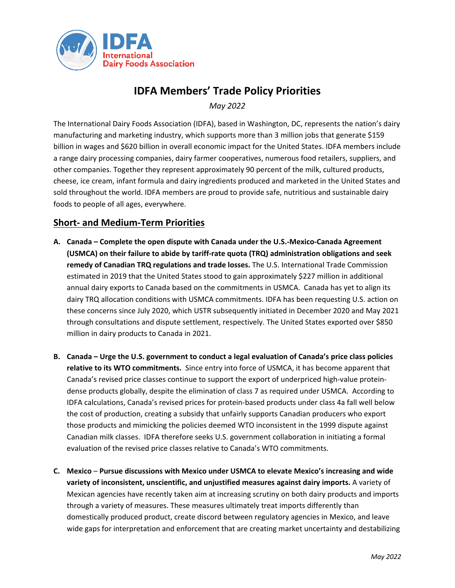

## **IDFA Members' Trade Policy Priorities**

*May 2022*

The International Dairy Foods Association (IDFA), based in Washington, DC, represents the nation's dairy manufacturing and marketing industry, which supports more than 3 million jobs that generate \$159 billion in wages and \$620 billion in overall economic impact for the United States. IDFA members include a range dairy processing companies, dairy farmer cooperatives, numerous food retailers, suppliers, and other companies. Together they represent approximately 90 percent of the milk, cultured products, cheese, ice cream, infant formula and dairy ingredients produced and marketed in the United States and sold throughout the world. IDFA members are proud to provide safe, nutritious and sustainable dairy foods to people of all ages, everywhere.

## **Short- and Medium-Term Priorities**

- **A. Canada Complete the open dispute with Canada under the U.S.-Mexico-Canada Agreement (USMCA) on their failure to abide by tariff-rate quota (TRQ) administration obligations and seek remedy of Canadian TRQ regulations and trade losses.** The U.S. International Trade Commission estimated in 2019 that the United States stood to gain approximately \$227 million in additional annual dairy exports to Canada based on the commitments in USMCA. Canada has yet to align its dairy TRQ allocation conditions with USMCA commitments. IDFA has been requesting U.S. action on these concerns since July 2020, which USTR subsequently initiated in December 2020 and May 2021 through consultations and dispute settlement, respectively. The United States exported over \$850 million in dairy products to Canada in 2021.
- **B. Canada Urge the U.S. government to conduct a legal evaluation of Canada's price class policies relative to its WTO commitments.** Since entry into force of USMCA, it has become apparent that Canada's revised price classes continue to support the export of underpriced high-value proteindense products globally, despite the elimination of class 7 as required under USMCA. According to IDFA calculations, Canada's revised prices for protein-based products under class 4a fall well below the cost of production, creating a subsidy that unfairly supports Canadian producers who export those products and mimicking the policies deemed WTO inconsistent in the 1999 dispute against Canadian milk classes. IDFA therefore seeks U.S. government collaboration in initiating a formal evaluation of the revised price classes relative to Canada's WTO commitments.
- **C. Mexico Pursue discussions with Mexico under USMCA to elevate Mexico's increasing and wide variety of inconsistent, unscientific, and unjustified measures against dairy imports.** A variety of Mexican agencies have recently taken aim at increasing scrutiny on both dairy products and imports through a variety of measures. These measures ultimately treat imports differently than domestically produced product, create discord between regulatory agencies in Mexico, and leave wide gaps for interpretation and enforcement that are creating market uncertainty and destabilizing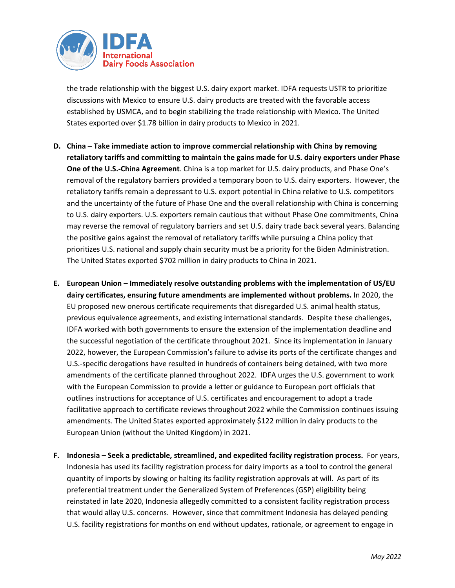

the trade relationship with the biggest U.S. dairy export market. IDFA requests USTR to prioritize discussions with Mexico to ensure U.S. dairy products are treated with the favorable access established by USMCA, and to begin stabilizing the trade relationship with Mexico. The United States exported over \$1.78 billion in dairy products to Mexico in 2021.

- **D. China – Take immediate action to improve commercial relationship with China by removing retaliatory tariffs and committing to maintain the gains made for U.S. dairy exporters under Phase One of the U.S.-China Agreement**. China is a top market for U.S. dairy products, and Phase One's removal of the regulatory barriers provided a temporary boon to U.S. dairy exporters. However, the retaliatory tariffs remain a depressant to U.S. export potential in China relative to U.S. competitors and the uncertainty of the future of Phase One and the overall relationship with China is concerning to U.S. dairy exporters. U.S. exporters remain cautious that without Phase One commitments, China may reverse the removal of regulatory barriers and set U.S. dairy trade back several years. Balancing the positive gains against the removal of retaliatory tariffs while pursuing a China policy that prioritizes U.S. national and supply chain security must be a priority for the Biden Administration. The United States exported \$702 million in dairy products to China in 2021.
- **E. European Union – Immediately resolve outstanding problems with the implementation of US/EU dairy certificates, ensuring future amendments are implemented without problems.** In 2020, the EU proposed new onerous certificate requirements that disregarded U.S. animal health status, previous equivalence agreements, and existing international standards. Despite these challenges, IDFA worked with both governments to ensure the extension of the implementation deadline and the successful negotiation of the certificate throughout 2021. Since its implementation in January 2022, however, the European Commission's failure to advise its ports of the certificate changes and U.S.-specific derogations have resulted in hundreds of containers being detained, with two more amendments of the certificate planned throughout 2022. IDFA urges the U.S. government to work with the European Commission to provide a letter or guidance to European port officials that outlines instructions for acceptance of U.S. certificates and encouragement to adopt a trade facilitative approach to certificate reviews throughout 2022 while the Commission continues issuing amendments. The United States exported approximately \$122 million in dairy products to the European Union (without the United Kingdom) in 2021.
- **F. Indonesia – Seek a predictable, streamlined, and expedited facility registration process.** For years, Indonesia has used its facility registration process for dairy imports as a tool to control the general quantity of imports by slowing or halting its facility registration approvals at will. As part of its preferential treatment under the Generalized System of Preferences (GSP) eligibility being reinstated in late 2020, Indonesia allegedly committed to a consistent facility registration process that would allay U.S. concerns. However, since that commitment Indonesia has delayed pending U.S. facility registrations for months on end without updates, rationale, or agreement to engage in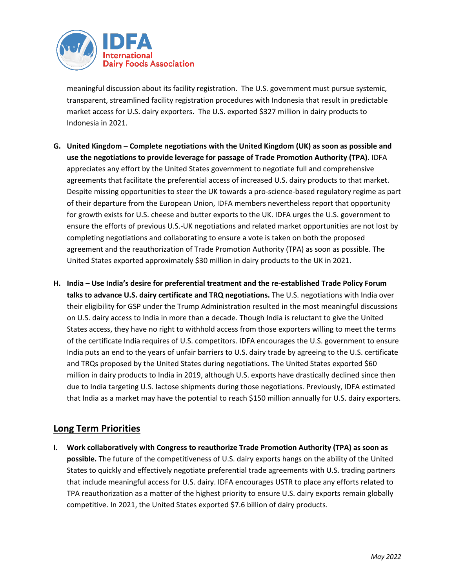

meaningful discussion about its facility registration. The U.S. government must pursue systemic, transparent, streamlined facility registration procedures with Indonesia that result in predictable market access for U.S. dairy exporters. The U.S. exported \$327 million in dairy products to Indonesia in 2021.

- **G. United Kingdom Complete negotiations with the United Kingdom (UK) as soon as possible and use the negotiations to provide leverage for passage of Trade Promotion Authority (TPA).** IDFA appreciates any effort by the United States government to negotiate full and comprehensive agreements that facilitate the preferential access of increased U.S. dairy products to that market. Despite missing opportunities to steer the UK towards a pro-science-based regulatory regime as part of their departure from the European Union, IDFA members nevertheless report that opportunity for growth exists for U.S. cheese and butter exports to the UK. IDFA urges the U.S. government to ensure the efforts of previous U.S.-UK negotiations and related market opportunities are not lost by completing negotiations and collaborating to ensure a vote is taken on both the proposed agreement and the reauthorization of Trade Promotion Authority (TPA) as soon as possible. The United States exported approximately \$30 million in dairy products to the UK in 2021.
- **H. India Use India's desire for preferential treatment and the re-established Trade Policy Forum talks to advance U.S. dairy certificate and TRQ negotiations.** The U.S. negotiations with India over their eligibility for GSP under the Trump Administration resulted in the most meaningful discussions on U.S. dairy access to India in more than a decade. Though India is reluctant to give the United States access, they have no right to withhold access from those exporters willing to meet the terms of the certificate India requires of U.S. competitors. IDFA encourages the U.S. government to ensure India puts an end to the years of unfair barriers to U.S. dairy trade by agreeing to the U.S. certificate and TRQs proposed by the United States during negotiations. The United States exported \$60 million in dairy products to India in 2019, although U.S. exports have drastically declined since then due to India targeting U.S. lactose shipments during those negotiations. Previously, IDFA estimated that India as a market may have the potential to reach \$150 million annually for U.S. dairy exporters.

## **Long Term Priorities**

**I. Work collaboratively with Congress to reauthorize Trade Promotion Authority (TPA) as soon as possible.** The future of the competitiveness of U.S. dairy exports hangs on the ability of the United States to quickly and effectively negotiate preferential trade agreements with U.S. trading partners that include meaningful access for U.S. dairy. IDFA encourages USTR to place any efforts related to TPA reauthorization as a matter of the highest priority to ensure U.S. dairy exports remain globally competitive. In 2021, the United States exported \$7.6 billion of dairy products.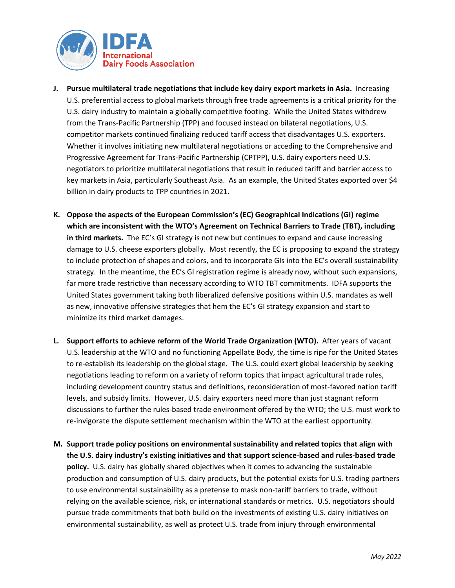

- **J. Pursue multilateral trade negotiations that include key dairy export markets in Asia.** Increasing U.S. preferential access to global markets through free trade agreements is a critical priority for the U.S. dairy industry to maintain a globally competitive footing. While the United States withdrew from the Trans-Pacific Partnership (TPP) and focused instead on bilateral negotiations, U.S. competitor markets continued finalizing reduced tariff access that disadvantages U.S. exporters. Whether it involves initiating new multilateral negotiations or acceding to the Comprehensive and Progressive Agreement for Trans-Pacific Partnership (CPTPP), U.S. dairy exporters need U.S. negotiators to prioritize multilateral negotiations that result in reduced tariff and barrier access to key markets in Asia, particularly Southeast Asia. As an example, the United States exported over \$4 billion in dairy products to TPP countries in 2021.
- **K. Oppose the aspects of the European Commission's (EC) Geographical Indications (GI) regime which are inconsistent with the WTO's Agreement on Technical Barriers to Trade (TBT), including in third markets.** The EC's GI strategy is not new but continues to expand and cause increasing damage to U.S. cheese exporters globally. Most recently, the EC is proposing to expand the strategy to include protection of shapes and colors, and to incorporate GIs into the EC's overall sustainability strategy. In the meantime, the EC's GI registration regime is already now, without such expansions, far more trade restrictive than necessary according to WTO TBT commitments. IDFA supports the United States government taking both liberalized defensive positions within U.S. mandates as well as new, innovative offensive strategies that hem the EC's GI strategy expansion and start to minimize its third market damages.
- **L. Support efforts to achieve reform of the World Trade Organization (WTO).** After years of vacant U.S. leadership at the WTO and no functioning Appellate Body, the time is ripe for the United States to re-establish its leadership on the global stage. The U.S. could exert global leadership by seeking negotiations leading to reform on a variety of reform topics that impact agricultural trade rules, including development country status and definitions, reconsideration of most-favored nation tariff levels, and subsidy limits. However, U.S. dairy exporters need more than just stagnant reform discussions to further the rules-based trade environment offered by the WTO; the U.S. must work to re-invigorate the dispute settlement mechanism within the WTO at the earliest opportunity.
- **M. Support trade policy positions on environmental sustainability and related topics that align with the U.S. dairy industry's existing initiatives and that support science-based and rules-based trade policy.** U.S. dairy has globally shared objectives when it comes to advancing the sustainable production and consumption of U.S. dairy products, but the potential exists for U.S. trading partners to use environmental sustainability as a pretense to mask non-tariff barriers to trade, without relying on the available science, risk, or international standards or metrics. U.S. negotiators should pursue trade commitments that both build on the investments of existing U.S. dairy initiatives on environmental sustainability, as well as protect U.S. trade from injury through environmental